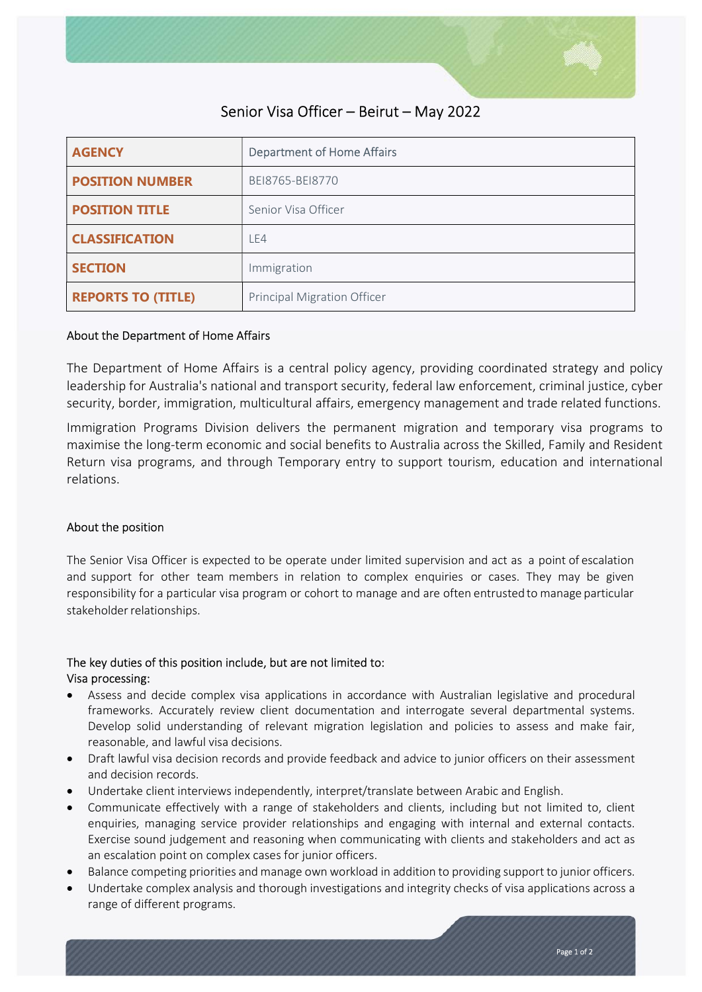

# Senior Visa Officer – Beirut – May 2022

| <b>AGENCY</b>             | <b>Department of Home Affairs</b>  |
|---------------------------|------------------------------------|
| <b>POSITION NUMBER</b>    | BEI8765-BEI8770                    |
| <b>POSITION TITLE</b>     | Senior Visa Officer                |
| <b>CLASSIFICATION</b>     | LE4                                |
| <b>SECTION</b>            | Immigration                        |
| <b>REPORTS TO (TITLE)</b> | <b>Principal Migration Officer</b> |

### About the Department of Home Affairs

The Department of Home Affairs is a central policy agency, providing coordinated strategy and policy leadership for Australia's national and transport security, federal law enforcement, criminal justice, cyber security, border, immigration, multicultural affairs, emergency management and trade related functions.

Immigration Programs Division delivers the permanent migration and temporary visa programs to maximise the long-term economic and social benefits to Australia across the Skilled, Family and Resident Return visa programs, and through Temporary entry to support tourism, education and international relations.

#### About the position

The Senior Visa Officer is expected to be operate under limited supervision and act as a point of escalation and support for other team members in relation to complex enquiries or cases. They may be given responsibility for a particular visa program or cohort to manage and are often entrusted to manage particular stakeholder relationships.

### The key duties of this position include, but are not limited to: Visa processing:

- Assess and decide complex visa applications in accordance with Australian legislative and procedural frameworks. Accurately review client documentation and interrogate several departmental systems. Develop solid understanding of relevant migration legislation and policies to assess and make fair, reasonable, and lawful visa decisions.
- Draft lawful visa decision records and provide feedback and advice to junior officers on their assessment and decision records.
- Undertake client interviews independently, interpret/translate between Arabic and English.
- Communicate effectively with a range of stakeholders and clients, including but not limited to, client enquiries, managing service provider relationships and engaging with internal and external contacts. Exercise sound judgement and reasoning when communicating with clients and stakeholders and act as an escalation point on complex cases for junior officers.
- Balance competing priorities and manage own workload in addition to providing support to junior officers.
- Undertake complex analysis and thorough investigations and integrity checks of visa applications across a range of different programs.